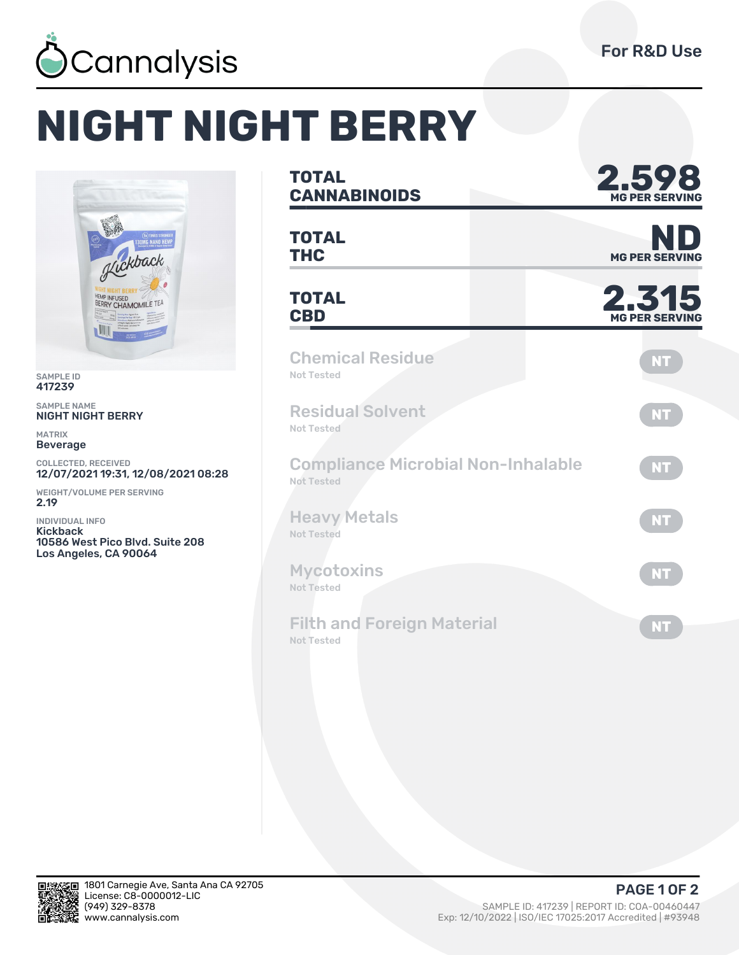

## **NIGHT NIGHT BERRY**



SAMPLE ID 417239

SAMPLE NAME NIGHT NIGHT BERRY

MATRIX Beverage

COLLECTED, RECEIVED 12/07/2021 19:31, 12/08/2021 08:28

WEIGHT/VOLUME PER SERVING 2.19

INDIVIDUAL INFO Kickback 10586 West Pico Blvd. Suite 208 Los Angeles, CA 90064

| <b>TOTAL</b><br><b>CANNABINOIDS</b>                     | 598<br><b>MG PER SERVI</b>     |  |  |  |
|---------------------------------------------------------|--------------------------------|--|--|--|
| <b>TOTAL</b><br><b>THC</b>                              | NI<br><b>MG PER SERVI</b>      |  |  |  |
| <b>TOTAL</b><br><b>CBD</b>                              | 2.315<br><b>MG PER SERVING</b> |  |  |  |
| <b>Chemical Residue</b><br>Not Tested                   | <b>NT</b>                      |  |  |  |
| <b>Residual Solvent</b><br>Not Tested                   | <b>NT</b>                      |  |  |  |
| <b>Compliance Microbial Non-Inhalable</b><br>Not Tested | <b>NT</b>                      |  |  |  |
| <b>Heavy Metals</b><br>Not Tested                       | <b>NT</b>                      |  |  |  |
| <b>Mycotoxins</b><br>Not Tested                         | <b>NT</b>                      |  |  |  |
| <b>Filth and Foreign Material</b><br><b>Not Tested</b>  | <b>NT</b>                      |  |  |  |